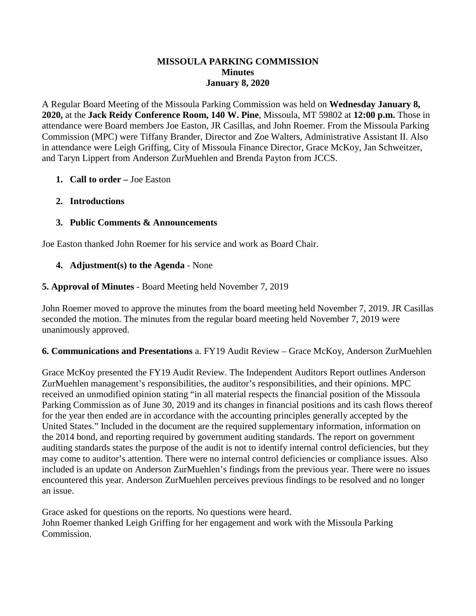#### **MISSOULA PARKING COMMISSION Minutes January 8, 2020**

A Regular Board Meeting of the Missoula Parking Commission was held on **Wednesday January 8, 2020,** at the **Jack Reidy Conference Room, 140 W. Pine**, Missoula, MT 59802 at **12:00 p.m.** Those in attendance were Board members Joe Easton, JR Casillas, and John Roemer. From the Missoula Parking Commission (MPC) were Tiffany Brander, Director and Zoe Walters, Administrative Assistant II. Also in attendance were Leigh Griffing, City of Missoula Finance Director, Grace McKoy, Jan Schweitzer, and Taryn Lippert from Anderson ZurMuehlen and Brenda Payton from JCCS.

## **1. Call to order –** Joe Easton

## **2. Introductions**

# **3. Public Comments & Announcements**

Joe Easton thanked John Roemer for his service and work as Board Chair.

### **4. Adjustment(s) to the Agenda** - None

### **5. Approval of Minutes** - Board Meeting held November 7, 2019

John Roemer moved to approve the minutes from the board meeting held November 7, 2019. JR Casillas seconded the motion. The minutes from the regular board meeting held November 7, 2019 were unanimously approved.

### **6. Communications and Presentations** a. FY19 Audit Review – Grace McKoy, Anderson ZurMuehlen

Grace McKoy presented the FY19 Audit Review. The Independent Auditors Report outlines Anderson ZurMuehlen management's responsibilities, the auditor's responsibilities, and their opinions. MPC received an unmodified opinion stating "in all material respects the financial position of the Missoula Parking Commission as of June 30, 2019 and its changes in financial positions and its cash flows thereof for the year then ended are in accordance with the accounting principles generally accepted by the United States." Included in the document are the required supplementary information, information on the 2014 bond, and reporting required by government auditing standards. The report on government auditing standards states the purpose of the audit is not to identify internal control deficiencies, but they may come to auditor's attention. There were no internal control deficiencies or compliance issues. Also included is an update on Anderson ZurMuehlen's findings from the previous year. There were no issues encountered this year. Anderson ZurMuehlen perceives previous findings to be resolved and no longer an issue.

Grace asked for questions on the reports. No questions were heard. John Roemer thanked Leigh Griffing for her engagement and work with the Missoula Parking Commission.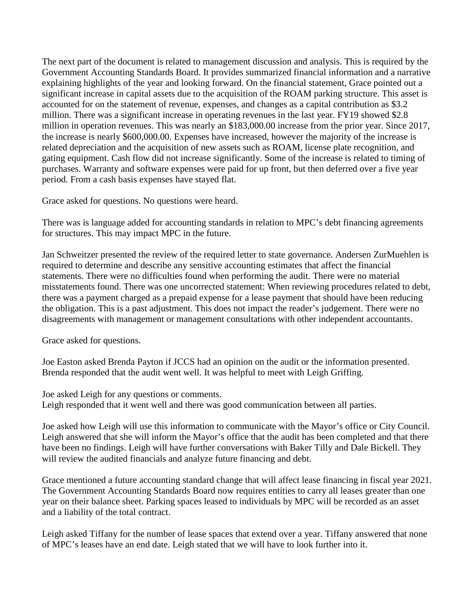The next part of the document is related to management discussion and analysis. This is required by the Government Accounting Standards Board. It provides summarized financial information and a narrative explaining highlights of the year and looking forward. On the financial statement, Grace pointed out a significant increase in capital assets due to the acquisition of the ROAM parking structure. This asset is accounted for on the statement of revenue, expenses, and changes as a capital contribution as \$3.2 million. There was a significant increase in operating revenues in the last year. FY19 showed \$2.8 million in operation revenues. This was nearly an \$183,000.00 increase from the prior year. Since 2017, the increase is nearly \$600,000.00. Expenses have increased, however the majority of the increase is related depreciation and the acquisition of new assets such as ROAM, license plate recognition, and gating equipment. Cash flow did not increase significantly. Some of the increase is related to timing of purchases. Warranty and software expenses were paid for up front, but then deferred over a five year period. From a cash basis expenses have stayed flat.

Grace asked for questions. No questions were heard.

There was is language added for accounting standards in relation to MPC's debt financing agreements for structures. This may impact MPC in the future.

Jan Schweitzer presented the review of the required letter to state governance. Andersen ZurMuehlen is required to determine and describe any sensitive accounting estimates that affect the financial statements. There were no difficulties found when performing the audit. There were no material misstatements found. There was one uncorrected statement: When reviewing procedures related to debt, there was a payment charged as a prepaid expense for a lease payment that should have been reducing the obligation. This is a past adjustment. This does not impact the reader's judgement. There were no disagreements with management or management consultations with other independent accountants.

Grace asked for questions.

Joe Easton asked Brenda Payton if JCCS had an opinion on the audit or the information presented. Brenda responded that the audit went well. It was helpful to meet with Leigh Griffing.

Joe asked Leigh for any questions or comments. Leigh responded that it went well and there was good communication between all parties.

Joe asked how Leigh will use this information to communicate with the Mayor's office or City Council. Leigh answered that she will inform the Mayor's office that the audit has been completed and that there have been no findings. Leigh will have further conversations with Baker Tilly and Dale Bickell. They will review the audited financials and analyze future financing and debt.

Grace mentioned a future accounting standard change that will affect lease financing in fiscal year 2021. The Government Accounting Standards Board now requires entities to carry all leases greater than one year on their balance sheet. Parking spaces leased to individuals by MPC will be recorded as an asset and a liability of the total contract.

Leigh asked Tiffany for the number of lease spaces that extend over a year. Tiffany answered that none of MPC's leases have an end date. Leigh stated that we will have to look further into it.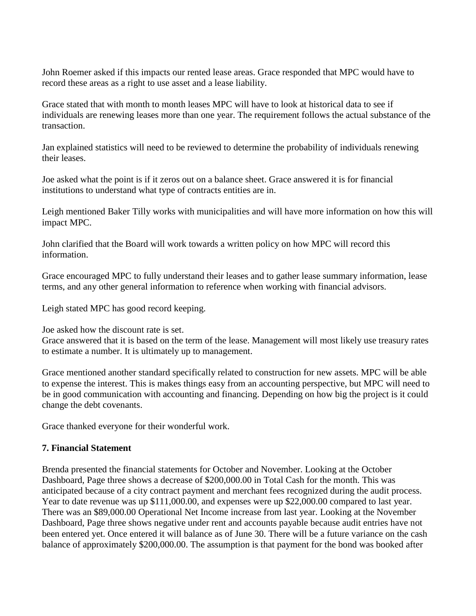John Roemer asked if this impacts our rented lease areas. Grace responded that MPC would have to record these areas as a right to use asset and a lease liability.

Grace stated that with month to month leases MPC will have to look at historical data to see if individuals are renewing leases more than one year. The requirement follows the actual substance of the transaction.

Jan explained statistics will need to be reviewed to determine the probability of individuals renewing their leases.

Joe asked what the point is if it zeros out on a balance sheet. Grace answered it is for financial institutions to understand what type of contracts entities are in.

Leigh mentioned Baker Tilly works with municipalities and will have more information on how this will impact MPC.

John clarified that the Board will work towards a written policy on how MPC will record this information.

Grace encouraged MPC to fully understand their leases and to gather lease summary information, lease terms, and any other general information to reference when working with financial advisors.

Leigh stated MPC has good record keeping.

Joe asked how the discount rate is set.

Grace answered that it is based on the term of the lease. Management will most likely use treasury rates to estimate a number. It is ultimately up to management.

Grace mentioned another standard specifically related to construction for new assets. MPC will be able to expense the interest. This is makes things easy from an accounting perspective, but MPC will need to be in good communication with accounting and financing. Depending on how big the project is it could change the debt covenants.

Grace thanked everyone for their wonderful work.

### **7. Financial Statement**

Brenda presented the financial statements for October and November. Looking at the October Dashboard, Page three shows a decrease of \$200,000.00 in Total Cash for the month. This was anticipated because of a city contract payment and merchant fees recognized during the audit process. Year to date revenue was up \$111,000.00, and expenses were up \$22,000.00 compared to last year. There was an \$89,000.00 Operational Net Income increase from last year. Looking at the November Dashboard, Page three shows negative under rent and accounts payable because audit entries have not been entered yet. Once entered it will balance as of June 30. There will be a future variance on the cash balance of approximately \$200,000.00. The assumption is that payment for the bond was booked after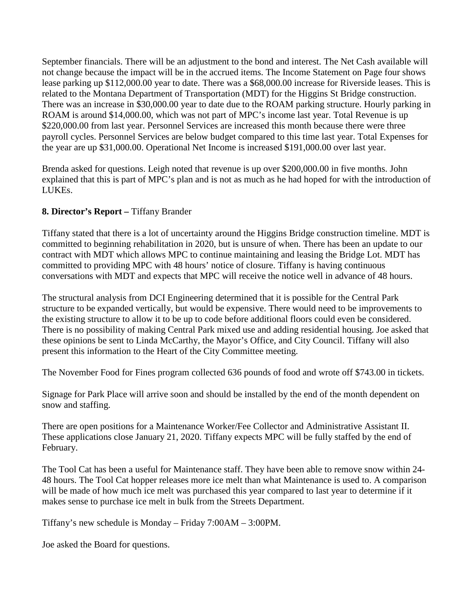September financials. There will be an adjustment to the bond and interest. The Net Cash available will not change because the impact will be in the accrued items. The Income Statement on Page four shows lease parking up \$112,000.00 year to date. There was a \$68,000.00 increase for Riverside leases. This is related to the Montana Department of Transportation (MDT) for the Higgins St Bridge construction. There was an increase in \$30,000.00 year to date due to the ROAM parking structure. Hourly parking in ROAM is around \$14,000.00, which was not part of MPC's income last year. Total Revenue is up \$220,000.00 from last year. Personnel Services are increased this month because there were three payroll cycles. Personnel Services are below budget compared to this time last year. Total Expenses for the year are up \$31,000.00. Operational Net Income is increased \$191,000.00 over last year.

Brenda asked for questions. Leigh noted that revenue is up over \$200,000.00 in five months. John explained that this is part of MPC's plan and is not as much as he had hoped for with the introduction of LUKEs.

## **8. Director's Report –** Tiffany Brander

Tiffany stated that there is a lot of uncertainty around the Higgins Bridge construction timeline. MDT is committed to beginning rehabilitation in 2020, but is unsure of when. There has been an update to our contract with MDT which allows MPC to continue maintaining and leasing the Bridge Lot. MDT has committed to providing MPC with 48 hours' notice of closure. Tiffany is having continuous conversations with MDT and expects that MPC will receive the notice well in advance of 48 hours.

The structural analysis from DCI Engineering determined that it is possible for the Central Park structure to be expanded vertically, but would be expensive. There would need to be improvements to the existing structure to allow it to be up to code before additional floors could even be considered. There is no possibility of making Central Park mixed use and adding residential housing. Joe asked that these opinions be sent to Linda McCarthy, the Mayor's Office, and City Council. Tiffany will also present this information to the Heart of the City Committee meeting.

The November Food for Fines program collected 636 pounds of food and wrote off \$743.00 in tickets.

Signage for Park Place will arrive soon and should be installed by the end of the month dependent on snow and staffing.

There are open positions for a Maintenance Worker/Fee Collector and Administrative Assistant II. These applications close January 21, 2020. Tiffany expects MPC will be fully staffed by the end of February.

The Tool Cat has been a useful for Maintenance staff. They have been able to remove snow within 24- 48 hours. The Tool Cat hopper releases more ice melt than what Maintenance is used to. A comparison will be made of how much ice melt was purchased this year compared to last year to determine if it makes sense to purchase ice melt in bulk from the Streets Department.

Tiffany's new schedule is Monday – Friday 7:00AM – 3:00PM.

Joe asked the Board for questions.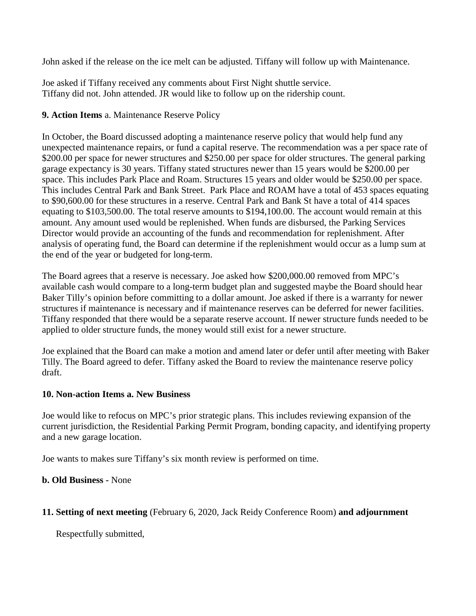John asked if the release on the ice melt can be adjusted. Tiffany will follow up with Maintenance.

Joe asked if Tiffany received any comments about First Night shuttle service. Tiffany did not. John attended. JR would like to follow up on the ridership count.

## **9. Action Items** a. Maintenance Reserve Policy

In October, the Board discussed adopting a maintenance reserve policy that would help fund any unexpected maintenance repairs, or fund a capital reserve. The recommendation was a per space rate of \$200.00 per space for newer structures and \$250.00 per space for older structures. The general parking garage expectancy is 30 years. Tiffany stated structures newer than 15 years would be \$200.00 per space. This includes Park Place and Roam. Structures 15 years and older would be \$250.00 per space. This includes Central Park and Bank Street. Park Place and ROAM have a total of 453 spaces equating to \$90,600.00 for these structures in a reserve. Central Park and Bank St have a total of 414 spaces equating to \$103,500.00. The total reserve amounts to \$194,100.00. The account would remain at this amount. Any amount used would be replenished. When funds are disbursed, the Parking Services Director would provide an accounting of the funds and recommendation for replenishment. After analysis of operating fund, the Board can determine if the replenishment would occur as a lump sum at the end of the year or budgeted for long-term.

The Board agrees that a reserve is necessary. Joe asked how \$200,000.00 removed from MPC's available cash would compare to a long-term budget plan and suggested maybe the Board should hear Baker Tilly's opinion before committing to a dollar amount. Joe asked if there is a warranty for newer structures if maintenance is necessary and if maintenance reserves can be deferred for newer facilities. Tiffany responded that there would be a separate reserve account. If newer structure funds needed to be applied to older structure funds, the money would still exist for a newer structure.

Joe explained that the Board can make a motion and amend later or defer until after meeting with Baker Tilly. The Board agreed to defer. Tiffany asked the Board to review the maintenance reserve policy draft.

### **10. Non-action Items a. New Business**

Joe would like to refocus on MPC's prior strategic plans. This includes reviewing expansion of the current jurisdiction, the Residential Parking Permit Program, bonding capacity, and identifying property and a new garage location.

Joe wants to makes sure Tiffany's six month review is performed on time.

### **b. Old Business -** None

### **11. Setting of next meeting** (February 6, 2020, Jack Reidy Conference Room) **and adjournment**

Respectfully submitted,